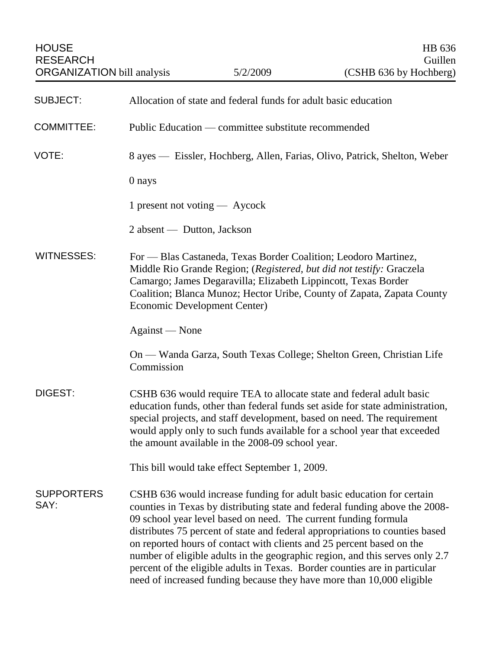| <b>HOUSE</b><br><b>RESEARCH</b><br><b>ORGANIZATION</b> bill analysis |                                                                           | 5/2/2009                                                        | HB 636<br>Guillen<br>(CSHB 636 by Hochberg)                                                                                                                                                                                                                                                                                                                                                                                                                                                                                                          |
|----------------------------------------------------------------------|---------------------------------------------------------------------------|-----------------------------------------------------------------|------------------------------------------------------------------------------------------------------------------------------------------------------------------------------------------------------------------------------------------------------------------------------------------------------------------------------------------------------------------------------------------------------------------------------------------------------------------------------------------------------------------------------------------------------|
| <b>SUBJECT:</b>                                                      | Allocation of state and federal funds for adult basic education           |                                                                 |                                                                                                                                                                                                                                                                                                                                                                                                                                                                                                                                                      |
| <b>COMMITTEE:</b>                                                    | Public Education — committee substitute recommended                       |                                                                 |                                                                                                                                                                                                                                                                                                                                                                                                                                                                                                                                                      |
| VOTE:                                                                | 8 ayes — Eissler, Hochberg, Allen, Farias, Olivo, Patrick, Shelton, Weber |                                                                 |                                                                                                                                                                                                                                                                                                                                                                                                                                                                                                                                                      |
|                                                                      | 0 nays                                                                    |                                                                 |                                                                                                                                                                                                                                                                                                                                                                                                                                                                                                                                                      |
|                                                                      | 1 present not voting — Aycock                                             |                                                                 |                                                                                                                                                                                                                                                                                                                                                                                                                                                                                                                                                      |
|                                                                      | 2 absent — Dutton, Jackson                                                |                                                                 |                                                                                                                                                                                                                                                                                                                                                                                                                                                                                                                                                      |
| <b>WITNESSES:</b>                                                    | Economic Development Center)                                              | Camargo; James Degaravilla; Elizabeth Lippincott, Texas Border  | For — Blas Castaneda, Texas Border Coalition; Leodoro Martinez,<br>Middle Rio Grande Region; (Registered, but did not testify: Graczela<br>Coalition; Blanca Munoz; Hector Uribe, County of Zapata, Zapata County                                                                                                                                                                                                                                                                                                                                    |
|                                                                      | Against — None                                                            |                                                                 |                                                                                                                                                                                                                                                                                                                                                                                                                                                                                                                                                      |
|                                                                      | Commission                                                                |                                                                 | On - Wanda Garza, South Texas College; Shelton Green, Christian Life                                                                                                                                                                                                                                                                                                                                                                                                                                                                                 |
| DIGEST:                                                              |                                                                           | the amount available in the 2008-09 school year.                | CSHB 636 would require TEA to allocate state and federal adult basic<br>education funds, other than federal funds set aside for state administration,<br>special projects, and staff development, based on need. The requirement<br>would apply only to such funds available for a school year that exceeded                                                                                                                                                                                                                                         |
|                                                                      |                                                                           | This bill would take effect September 1, 2009.                  |                                                                                                                                                                                                                                                                                                                                                                                                                                                                                                                                                      |
| <b>SUPPORTERS</b><br>SAY:                                            |                                                                           | 09 school year level based on need. The current funding formula | CSHB 636 would increase funding for adult basic education for certain<br>counties in Texas by distributing state and federal funding above the 2008-<br>distributes 75 percent of state and federal appropriations to counties based<br>on reported hours of contact with clients and 25 percent based on the<br>number of eligible adults in the geographic region, and this serves only 2.7<br>percent of the eligible adults in Texas. Border counties are in particular<br>need of increased funding because they have more than 10,000 eligible |